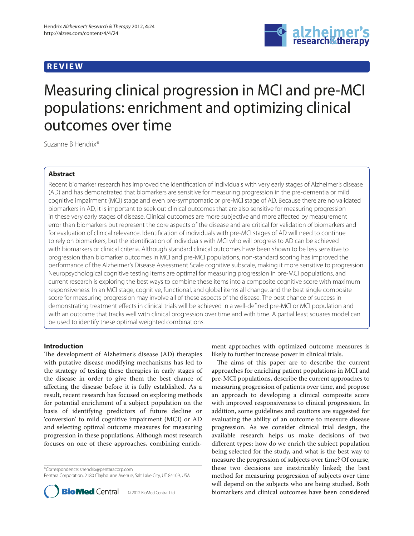## **REVIEW**



# Measuring clinical progression in MCI and pre-MCI populations: enrichment and optimizing clinical outcomes over time

Suzanne B Hendrix\*

## **Abstract**

Recent biomarker research has improved the identification of individuals with very early stages of Alzheimer's disease (AD) and has demonstrated that biomarkers are sensitive for measuring progression in the pre-dementia or mild cognitive impairment (MCI) stage and even pre-symptomatic or pre-MCI stage of AD. Because there are no validated biomarkers in AD, it is important to seek out clinical outcomes that are also sensitive for measuring progression in these very early stages of disease. Clinical outcomes are more subjective and more affected by measurement error than biomarkers but represent the core aspects of the disease and are critical for validation of biomarkers and for evaluation of clinical relevance. Identification of individuals with pre-MCI stages of AD will need to continue to rely on biomarkers, but the identification of individuals with MCI who will progress to AD can be achieved with biomarkers or clinical criteria. Although standard clinical outcomes have been shown to be less sensitive to progression than biomarker outcomes in MCI and pre-MCI populations, non-standard scoring has improved the performance of the Alzheimer's Disease Assessment Scale cognitive subscale, making it more sensitive to progression. Neuropsychological cognitive testing items are optimal for measuring progression in pre-MCI populations, and current research is exploring the best ways to combine these items into a composite cognitive score with maximum responsiveness. In an MCI stage, cognitive, functional, and global items all change, and the best single composite score for measuring progression may involve all of these aspects of the disease. The best chance of success in demonstrating treatment effects in clinical trials will be achieved in a well-defined pre-MCI or MCI population and with an outcome that tracks well with clinical progression over time and with time. A partial least squares model can be used to identify these optimal weighted combinations.

## **Introduction**

The development of Alzheimer's disease (AD) therapies with putative disease-modifying mechanisms has led to the strategy of testing these therapies in early stages of the disease in order to give them the best chance of affecting the disease before it is fully established. As a result, recent research has focused on exploring methods for potential enrichment of a subject population on the basis of identifying predictors of future decline or 'conversion' to mild cognitive impairment (MCI) or AD and selecting optimal outcome measures for measuring progression in these populations. Although most research focuses on one of these approaches, combining enrich-

\*Correspondence: shendrix@pentaracorp.com Pentara Corporation, 2180 Claybourne Avenue, Salt Lake City, UT 84109, USA



ment approaches with optimized outcome measures is likely to further increase power in clinical trials.

The aims of this paper are to describe the current approaches for enriching patient populations in MCI and pre-MCI populations, describe the current approaches to measuring progression of patients over time, and propose an approach to developing a clinical composite score with improved responsiveness to clinical progression. In addition, some guidelines and cautions are suggested for evaluating the ability of an outcome to measure disease progression. As we consider clinical trial design, the available research helps us make decisions of two different types: how do we enrich the subject population being selected for the study, and what is the best way to measure the progression of subjects over time? Of course, these two decisions are inextricably linked; the best method for measuring progression of subjects over time will depend on the subjects who are being studied. Both biomarkers and clinical outcomes have been considered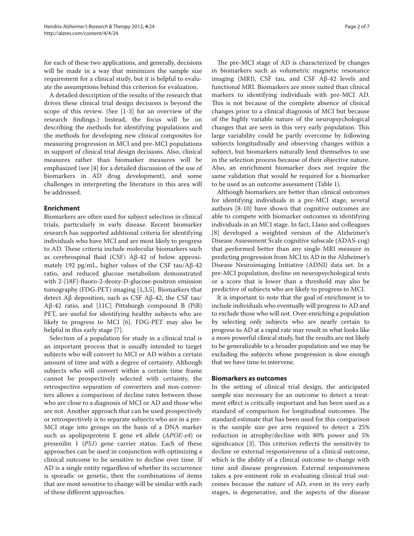for each of these two applications, and generally, decisions will be made in a way that minimizes the sample size requirement for a clinical study, but it is helpful to evaluate the assumptions behind this criterion for evaluation.

A detailed description of the results of the research that drives these clinical trial design decisions is beyond the scope of this review. (See [1-3] for an overview of the research findings.) Instead, the focus will be on describing the methods for identifying populations and the methods for developing new clinical composites for measuring progression in MCI and pre-MCI populations in support of clinical trial design decisions. Also, clinical measures rather than biomarker measures will be emphasized (see [4] for a detailed discussion of the use of biomarkers in AD drug development), and some challenges in interpreting the literature in this area will be addressed.

## **Enrichment**

Biomarkers are often used for subject selection in clinical trials, particularly in early disease. Recent biomarker research has supported additional criteria for identifying individuals who have MCI and are most likely to progress to AD. These criteria include molecular biomarkers such as cerebrospinal fluid (CSF) Aβ-42 of below approximately 192 pg/mL, higher values of the CSF tau/Aβ-42 ratio, and reduced glucose metabolism demonstrated with 2-[18F]-fluoro-2-deoxy-D-glucose-positron emission tomography (FDG-PET) imaging [1,3,5]. Biomarkers that detect Aβ deposition, such as CSF Aβ-42, the CSF tau/ Aβ-42 ratio, and [11C] Pittsburgh compound B (PiB) PET, are useful for identifying healthy subjects who are likely to progress to MCI [6]. FDG-PET may also be helpful in this early stage [7].

Selection of a population for study in a clinical trial is an important process that is usually intended to target subjects who will convert to MCI or AD within a certain amount of time and with a degree of certainty. Although subjects who will convert within a certain time frame cannot be prospectively selected with certainty, the retrospective separation of converters and non-converters allows a comparison of decline rates between those who are close to a diagnosis of MCI or AD and those who are not. Another approach that can be used prospectively or retrospectively is to separate subjects who are in a pre-MCI stage into groups on the basis of a DNA marker such as apolipoprotein E gene e4 allele (*APOE-e4*) or presenilin 1 (*PS1*) gene carrier status. Each of these approaches can be used in conjunction with optimizing a clinical outcome to be sensitive to decline over time. If AD is a single entity regardless of whether its occurrence is sporadic or genetic, then the combinations of items that are most sensitive to change will be similar with each of these different approaches.

The pre-MCI stage of AD is characterized by changes in biomarkers such as volumetric magnetic resonance imaging (MRI), CSF tau, and CSF Aβ-42 levels and functional MRI. Biomarkers are more suited than clinical markers to identifying individuals with pre-MCI AD. This is not because of the complete absence of clinical changes prior to a clinical diagnosis of MCI but because of the highly variable nature of the neuropsychological changes that are seen in this very early population. This large variability could be partly overcome by following subjects longitudinally and observing changes within a subject, but biomarkers naturally lend themselves to use in the selection process because of their objective nature. Also, an enrichment biomarker does not require the same validation that would be required for a biomarker to be used as an outcome assessment (Table 1).

Although biomarkers are better than clinical outcomes for identifying individuals in a pre-MCI stage, several authors [8-10] have shown that cognitive outcomes are able to compete with biomarker outcomes in identifying individuals in an MCI stage. In fact, Llano and colleagues [8] developed a weighted version of the Alzheimer's Disease Assessment Scale cognitive subscale (ADAS-cog) that performed better than any single MRI measure in predicting progression from MCI to AD in the Alzheimer's Disease Neuroimaging Initiative (ADNI) data set. In a pre-MCI population, decline on neuropsychological tests or a score that is lower than a threshold may also be predictive of subjects who are likely to progress to MCI.

It is important to note that the goal of enrichment is to include individuals who eventually will progress to AD and to exclude those who will not. Over-enriching a population by selecting only subjects who are nearly certain to progress to AD at a rapid rate may result in what looks like a more powerful clinical study, but the results are not likely to be generalizable to a broader population and we may be excluding the subjects whose progression is slow enough that we have time to intervene.

### **Biomarkers as outcomes**

In the setting of clinical trial design, the anticipated sample size necessary for an outcome to detect a treatment effect is critically important and has been used as a standard of comparison for longitudinal outcomes. The standard estimate that has been used for this comparison is the sample size per arm required to detect a 25% reduction in atrophy/decline with 80% power and 5% significance [3]. This criterion reflects the sensitivity to decline or external responsiveness of a clinical outcome, which is the ability of a clinical outcome to change with time and disease progression. External responsiveness takes a pre-eminent role in evaluating clinical trial outcomes because the nature of AD, even in its very early stages, is degenerative, and the aspects of the disease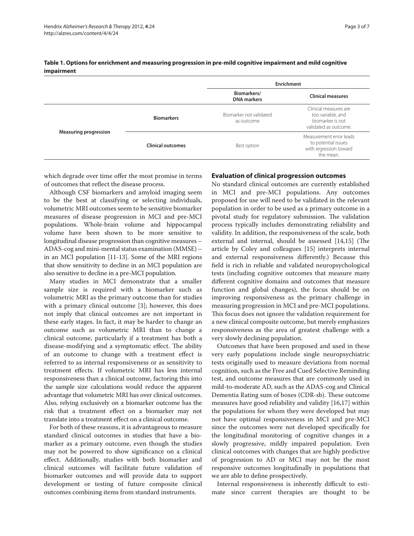|                              |                          | Enrichment                            |                                                                                         |  |  |
|------------------------------|--------------------------|---------------------------------------|-----------------------------------------------------------------------------------------|--|--|
|                              |                          | Biomarkers/<br><b>DNA</b> markers     | <b>Clinical measures</b>                                                                |  |  |
| <b>Measuring progression</b> | <b>Biomarkers</b>        | Biomarker not validated<br>as outcome | Clinical measures are<br>too variable, and<br>biomarker is not<br>validated as outcome. |  |  |
|                              | <b>Clinical outcomes</b> | Best option                           | Measurement error leads<br>to potential issues<br>with regression toward<br>the mean.   |  |  |

#### **Table 1. Options for enrichment and measuring progression in pre-mild cognitive impairment and mild cognitive impairment**

which degrade over time offer the most promise in terms of outcomes that reflect the disease process.

Although CSF biomarkers and amyloid imaging seem to be the best at classifying or selecting individuals, volumetric MRI outcomes seem to be sensitive biomarker measures of disease progression in MCI and pre-MCI populations. Whole-brain volume and hippocampal volume have been shown to be more sensitive to longitudinal disease progression than cognitive measures – ADAS-cog and mini-mental status examination (MMSE) – in an MCI population [11-13]. Some of the MRI regions that show sensitivity to decline in an MCI population are also sensitive to decline in a pre-MCI population.

Many studies in MCI demonstrate that a smaller sample size is required with a biomarker such as volumetric MRI as the primary outcome than for studies with a primary clinical outcome [3]; however, this does not imply that clinical outcomes are not important in these early stages. In fact, it may be harder to change an outcome such as volumetric MRI than to change a clinical outcome, particularly if a treatment has both a disease-modifying and a symptomatic effect. The ability of an outcome to change with a treatment effect is referred to as internal responsiveness or as sensitivity to treatment effects. If volumetric MRI has less internal responsiveness than a clinical outcome, factoring this into the sample size calculations would reduce the apparent advantage that volumetric MRI has over clinical outcomes. Also, relying exclusively on a biomarker outcome has the risk that a treatment effect on a biomarker may not translate into a treatment effect on a clinical outcome.

For both of these reasons, it is advantageous to measure standard clinical outcomes in studies that have a biomarker as a primary outcome, even though the studies may not be powered to show significance on a clinical effect. Additionally, studies with both biomarker and clinical outcomes will facilitate future validation of biomarker outcomes and will provide data to support development or testing of future composite clinical outcomes combining items from standard instruments.

#### **Evaluation of clinical progression outcomes**

No standard clinical outcomes are currently established in MCI and pre-MCI populations. Any outcomes proposed for use will need to be validated in the relevant population in order to be used as a primary outcome in a pivotal study for regulatory submission. The validation process typically includes demonstrating reliability and validity. In addition, the responsiveness of the scale, both external and internal, should be assessed [14,15] (The article by Coley and colleagues [15] interprets internal and external responsiveness differently.) Because this field is rich in reliable and validated neuropsychological tests (including cognitive outcomes that measure many different cognitive domains and outcomes that measure function and global changes), the focus should be on improving responsiveness as the primary challenge in measuring progression in MCI and pre-MCI populations. This focus does not ignore the validation requirement for a new clinical composite outcome, but merely emphasizes responsiveness as the area of greatest challenge with a very slowly declining population.

Outcomes that have been proposed and used in these very early populations include single neuropsychiatric tests originally used to measure deviations from normal cognition, such as the Free and Cued Selective Reminding test, and outcome measures that are commonly used in mild-to-moderate AD, such as the ADAS-cog and Clinical Dementia Rating sum of boxes (CDR-sb). These outcome measures have good reliability and validity [16,17] within the populations for whom they were developed but may not have optimal responsiveness in MCI and pre-MCI since the outcomes were not developed specifically for the longitudinal monitoring of cognitive changes in a slowly progressive, mildly impaired population. Even clinical outcomes with changes that are highly predictive of progression to AD or MCI may not be the most responsive outcomes longitudinally in populations that we are able to define prospectively.

Internal responsiveness is inherently difficult to estimate since current therapies are thought to be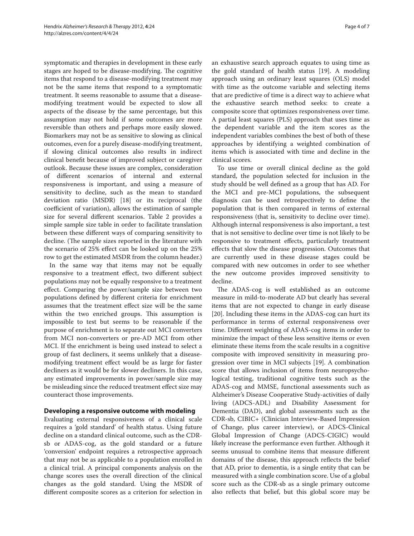symptomatic and therapies in development in these early stages are hoped to be disease-modifying. The cognitive items that respond to a disease-modifying treatment may not be the same items that respond to a symptomatic treatment. It seems reasonable to assume that a diseasemodifying treatment would be expected to slow all aspects of the disease by the same percentage, but this assumption may not hold if some outcomes are more reversible than others and perhaps more easily slowed. Biomarkers may not be as sensitive to slowing as clinical outcomes, even for a purely disease-modifying treatment, if slowing clinical outcomes also results in indirect clinical benefit because of improved subject or caregiver outlook. Because these issues are complex, consideration of different scenarios of internal and external responsiveness is important, and using a measure of sensitivity to decline, such as the mean to standard deviation ratio (MSDR) [18] or its reciprocal (the coefficient of variation), allows the estimation of sample size for several different scenarios. Table 2 provides a simple sample size table in order to facilitate translation between these different ways of comparing sensitivity to decline. (The sample sizes reported in the literature with the scenario of 25% effect can be looked up on the 25% row to get the estimated MSDR from the column header.)

In the same way that items may not be equally responsive to a treatment effect, two different subject populations may not be equally responsive to a treatment effect. Comparing the power/sample size between two populations defined by different criteria for enrichment assumes that the treatment effect size will be the same within the two enriched groups. This assumption is impossible to test but seems to be reasonable if the purpose of enrichment is to separate out MCI converters from MCI non-converters or pre-AD MCI from other MCI. If the enrichment is being used instead to select a group of fast decliners, it seems unlikely that a diseasemodifying treatment effect would be as large for faster decliners as it would be for slower decliners. In this case, any estimated improvements in power/sample size may be misleading since the reduced treatment effect size may counteract those improvements.

### **Developing a responsive outcome with modeling**

Evaluating external responsiveness of a clinical scale requires a 'gold standard' of health status. Using future decline on a standard clinical outcome, such as the CDRsb or ADAS-cog, as the gold standard or a future 'conversion' endpoint requires a retrospective approach that may not be as applicable to a population enrolled in a clinical trial. A principal components analysis on the change scores uses the overall direction of the clinical changes as the gold standard. Using the MSDR of different composite scores as a criterion for selection in an exhaustive search approach equates to using time as the gold standard of health status [19]. A modeling approach using an ordinary least squares (OLS) model with time as the outcome variable and selecting items that are predictive of time is a direct way to achieve what the exhaustive search method seeks: to create a composite score that optimizes responsiveness over time. A partial least squares (PLS) approach that uses time as the dependent variable and the item scores as the independent variables combines the best of both of these approaches by identifying a weighted combination of items which is associated with time and decline in the clinical scores.

To use time or overall clinical decline as the gold standard, the population selected for inclusion in the study should be well defined as a group that has AD. For the MCI and pre-MCI populations, the subsequent diagnosis can be used retrospectively to define the population that is then compared in terms of external responsiveness (that is, sensitivity to decline over time). Although internal responsiveness is also important, a test that is not sensitive to decline over time is not likely to be responsive to treatment effects, particularly treatment effects that slow the disease progression. Outcomes that are currently used in these disease stages could be compared with new outcomes in order to see whether the new outcome provides improved sensitivity to decline.

The ADAS-cog is well established as an outcome measure in mild-to-moderate AD but clearly has several items that are not expected to change in early disease [20]. Including these items in the ADAS-cog can hurt its performance in terms of external responsiveness over time. Different weighting of ADAS-cog items in order to minimize the impact of these less sensitive items or even eliminate these items from the scale results in a cognitive composite with improved sensitivity in measuring progression over time in MCI subjects [19]. A combination score that allows inclusion of items from neuropsychological testing, traditional cognitive tests such as the ADAS-cog and MMSE, functional assessments such as Alzheimer's Disease Cooperative Study-activities of daily living (ADCS-ADL) and Disability Assessment for Dementia (DAD), and global assessments such as the CDR-sb, CIBIC+ (Clinician Interview-Based Impression of Change, plus career interview), or ADCS-Clinical Global Impression of Change (ADCS-CIGIC) would likely increase the performance even further. Although it seems unusual to combine items that measure different domains of the disease, this approach reflects the belief that AD, prior to dementia, is a single entity that can be measured with a single combination score. Use of a global score such as the CDR-sb as a single primary outcome also reflects that belief, but this global score may be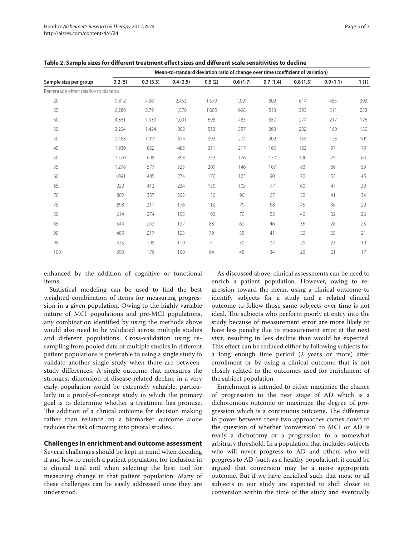| Sample size per group                 | Mean-to-standard deviation ratio of change over time (coefficient of variation) |          |          |        |          |          |          |          |      |  |
|---------------------------------------|---------------------------------------------------------------------------------|----------|----------|--------|----------|----------|----------|----------|------|--|
|                                       | 0.2(5)                                                                          | 0.3(3.3) | 0.4(2.5) | 0.5(2) | 0.6(1.7) | 0.7(1.4) | 0.8(1.3) | 0.9(1.1) | 1(1) |  |
| Percentage effect relative to placebo |                                                                                 |          |          |        |          |          |          |          |      |  |
| 20                                    | 9,812                                                                           | 4,361    | 2,453    | 1,570  | 1,091    | 802      | 614      | 485      | 393  |  |
| 25                                    | 6,280                                                                           | 2,791    | 1,570    | 1,005  | 698      | 513      | 393      | 311      | 253  |  |
| 30                                    | 4,361                                                                           | 1,939    | 1,091    | 698    | 485      | 357      | 274      | 217      | 176  |  |
| 35                                    | 3,204                                                                           | 1,424    | 802      | 513    | 357      | 263      | 202      | 160      | 130  |  |
| 40                                    | 2,453                                                                           | 1,091    | 614      | 393    | 274      | 202      | 155      | 123      | 100  |  |
| 45                                    | 1,939                                                                           | 862      | 485      | 311    | 217      | 160      | 123      | 97       | 79   |  |
| 50                                    | 1,570                                                                           | 698      | 393      | 253    | 176      | 130      | 100      | 79       | 64   |  |
| 55                                    | 1,298                                                                           | 577      | 325      | 209    | 146      | 107      | 83       | 66       | 53   |  |
| 60                                    | 1,091                                                                           | 485      | 274      | 176    | 123      | 90       | 70       | 55       | 45   |  |
| 65                                    | 929                                                                             | 413      | 234      | 150    | 105      | 77       | 60       | 47       | 39   |  |
| 70                                    | 802                                                                             | 357      | 202      | 130    | 90       | 67       | 52       | 41       | 34   |  |
| 75                                    | 698                                                                             | 311      | 176      | 113    | 79       | 58       | 45       | 36       | 29   |  |
| 80                                    | 614                                                                             | 274      | 155      | 100    | 70       | 52       | 40       | 32       | 26   |  |
| 85                                    | 544                                                                             | 243      | 137      | 88     | 62       | 46       | 35       | 28       | 23   |  |
| 90                                    | 485                                                                             | 217      | 123      | 79     | 55       | 41       | 32       | 25       | 21   |  |
| 95                                    | 435                                                                             | 195      | 110      | 71     | 50       | 37       | 29       | 23       | 19   |  |
| 100                                   | 393                                                                             | 176      | 100      | 64     | 45       | 34       | 26       | 21       | 17   |  |

**Table 2. Sample sizes for different treatment effect sizes and different scale sensitivities to decline**

enhanced by the addition of cognitive or functional items.

Statistical modeling can be used to find the best weighted combination of items for measuring progression in a given population. Owing to the highly variable nature of MCI populations and pre-MCI populations, any combination identified by using the methods above would also need to be validated across multiple studies and different populations. Cross-validation using resampling from pooled data of multiple studies in different patient populations is preferable to using a single study to validate another single study when there are betweenstudy differences. A single outcome that measures the strongest dimension of disease-related decline in a very early population would be extremely valuable, particularly in a proof-of-concept study in which the primary goal is to determine whether a treatment has promise. The addition of a clinical outcome for decision making rather than reliance on a biomarker outcome alone reduces the risk of moving into pivotal studies.

#### **Challenges in enrichment and outcome assessment**

Several challenges should be kept in mind when deciding if and how to enrich a patient population for inclusion in a clinical trial and when selecting the best tool for measuring change in that patient population. Many of these challenges can be easily addressed once they are understood.

As discussed above, clinical assessments can be used to enrich a patient population. However, owing to regression toward the mean, using a clinical outcome to identify subjects for a study and a related clinical outcome to follow those same subjects over time is not ideal. The subjects who perform poorly at entry into the study because of measurement error are more likely to have less penalty due to measurement error at the next visit, resulting in less decline than would be expected. This effect can be reduced either by following subjects for a long enough time period (2 years or more) after enrollment or by using a clinical outcome that is not closely related to the outcomes used for enrichment of the subject population.

Enrichment is intended to either maximize the chance of progression to the next stage of AD which is a dichotomous outcome or maximize the degree of progression which is a continuous outcome. The difference in power between these two approaches comes down to the question of whether 'conversion' to MCI or AD is really a dichotomy or a progression to a somewhat arbitrary threshold. In a population that includes subjects who will never progress to AD and others who will progress to AD (such as a healthy population), it could be argued that conversion may be a more appropriate outcome. But if we have enriched such that most or all subjects in our study are expected to shift closer to conversion within the time of the study and eventually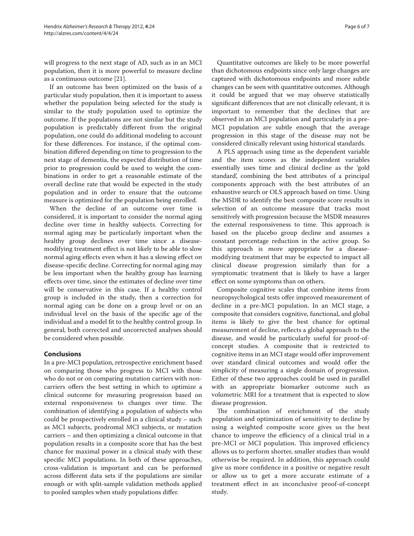will progress to the next stage of AD, such as in an MCI population, then it is more powerful to measure decline as a continuous outcome [21].

If an outcome has been optimized on the basis of a particular study population, then it is important to assess whether the population being selected for the study is similar to the study population used to optimize the outcome. If the populations are not similar but the study population is predictably different from the original population, one could do additional modeling to account for these differences. For instance, if the optimal combination differed depending on time to progression to the next stage of dementia, the expected distribution of time prior to progression could be used to weight the combinations in order to get a reasonable estimate of the overall decline rate that would be expected in the study population and in order to ensure that the outcome measure is optimized for the population being enrolled.

When the decline of an outcome over time is considered, it is important to consider the normal aging decline over time in healthy subjects. Correcting for normal aging may be particularly important when the healthy group declines over time since a diseasemodifying treatment effect is not likely to be able to slow normal aging effects even when it has a slowing effect on disease-specific decline. Correcting for normal aging may be less important when the healthy group has learning effects over time, since the estimates of decline over time will be conservative in this case. If a healthy control group is included in the study, then a correction for normal aging can be done on a group level or on an individual level on the basis of the specific age of the individual and a model fit to the healthy control group. In general, both corrected and uncorrected analyses should be considered when possible.

## **Conclusions**

In a pre-MCI population, retrospective enrichment based on comparing those who progress to MCI with those who do not or on comparing mutation carriers with noncarriers offers the best setting in which to optimize a clinical outcome for measuring progression based on external responsiveness to changes over time. The combination of identifying a population of subjects who could be prospectively enrolled in a clinical study – such as MCI subjects, prodromal MCI subjects, or mutation carriers – and then optimizing a clinical outcome in that population results in a composite score that has the best chance for maximal power in a clinical study with these specific MCI populations. In both of these approaches, cross-validation is important and can be performed across different data sets if the populations are similar enough or with split-sample validation methods applied to pooled samples when study populations differ.

Quantitative outcomes are likely to be more powerful than dichotomous endpoints since only large changes are captured with dichotomous endpoints and more subtle changes can be seen with quantitative outcomes. Although it could be argued that we may observe statistically significant differences that are not clinically relevant, it is important to remember that the declines that are observed in an MCI population and particularly in a pre-MCI population are subtle enough that the average progression in this stage of the disease may not be considered clinically relevant using historical standards.

A PLS approach using time as the dependent variable and the item scores as the independent variables essentially uses time and clinical decline as the 'gold standard', combining the best attributes of a principal components approach with the best attributes of an exhaustive search or OLS approach based on time. Using the MSDR to identify the best composite score results in selection of an outcome measure that tracks most sensitively with progression because the MSDR measures the external responsiveness to time. This approach is based on the placebo group decline and assumes a constant percentage reduction in the active group. So this approach is more appropriate for a diseasemodifying treatment that may be expected to impact all clinical disease progression similarly than for a symptomatic treatment that is likely to have a larger effect on some symptoms than on others.

Composite cognitive scales that combine items from neuropsychological tests offer improved measurement of decline in a pre-MCI population. In an MCI stage, a composite that considers cognitive, functional, and global items is likely to give the best chance for optimal measurement of decline, reflects a global approach to the disease, and would be particularly useful for proof-ofconcept studies. A composite that is restricted to cognitive items in an MCI stage would offer improvement over standard clinical outcomes and would offer the simplicity of measuring a single domain of progression. Either of these two approaches could be used in parallel with an appropriate biomarker outcome such as volumetric MRI for a treatment that is expected to slow disease progression.

The combination of enrichment of the study population and optimization of sensitivity to decline by using a weighted composite score gives us the best chance to improve the efficiency of a clinical trial in a pre-MCI or MCI population. This improved efficiency allows us to perform shorter, smaller studies than would otherwise be required. In addition, this approach could give us more confidence in a positive or negative result or allow us to get a more accurate estimate of a treatment effect in an inconclusive proof-of-concept study.